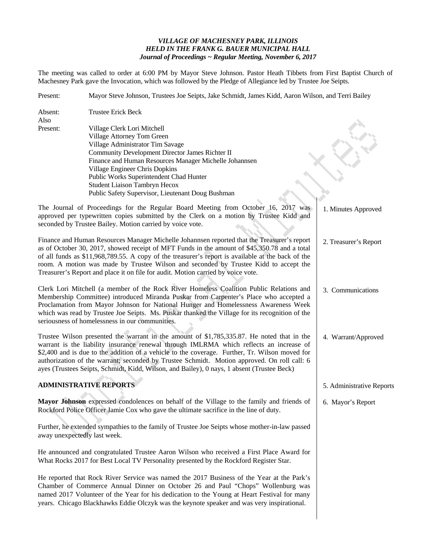# *VILLAGE OF MACHESNEY PARK, ILLINOIS HELD IN THE FRANK G. BAUER MUNICIPAL HALL Journal of Proceedings ~ Regular Meeting, November 6, 2017*

The meeting was called to order at 6:00 PM by Mayor Steve Johnson. Pastor Heath Tibbets from First Baptist Church of Machesney Park gave the Invocation, which was followed by the Pledge of Allegiance led by Trustee Joe Seipts.

| Present:        | Mayor Steve Johnson, Trustees Joe Seipts, Jake Schmidt, James Kidd, Aaron Wilson, and Terri Bailey                                                                                                                                                                                                                                                                                                                                                                                   |                           |
|-----------------|--------------------------------------------------------------------------------------------------------------------------------------------------------------------------------------------------------------------------------------------------------------------------------------------------------------------------------------------------------------------------------------------------------------------------------------------------------------------------------------|---------------------------|
| Absent:<br>Also | <b>Trustee Erick Beck</b>                                                                                                                                                                                                                                                                                                                                                                                                                                                            |                           |
| Present:        | Village Clerk Lori Mitchell<br>Village Attorney Tom Green<br>Village Administrator Tim Savage<br>Community Development Director James Richter II<br>Finance and Human Resources Manager Michelle Johannsen<br>Village Engineer Chris Dopkins<br>Public Works Superintendent Chad Hunter<br>Student Liaison Tambryn Hecox<br>Public Safety Supervisor, Lieutenant Doug Bushman                                                                                                        |                           |
|                 | The Journal of Proceedings for the Regular Board Meeting from October 16, 2017 was<br>approved per typewritten copies submitted by the Clerk on a motion by Trustee Kidd and<br>seconded by Trustee Bailey. Motion carried by voice vote.                                                                                                                                                                                                                                            | 1. Minutes Approved       |
|                 | Finance and Human Resources Manager Michelle Johannsen reported that the Treasurer's report<br>as of October 30, 2017, showed receipt of MFT Funds in the amount of \$45,350.78 and a total<br>of all funds as \$11,968,789.55. A copy of the treasurer's report is available at the back of the<br>room. A motion was made by Trustee Wilson and seconded by Trustee Kidd to accept the<br>Treasurer's Report and place it on file for audit. Motion carried by voice vote.         | 2. Treasurer's Report     |
|                 | Clerk Lori Mitchell (a member of the Rock River Homeless Coalition Public Relations and<br>Membership Committee) introduced Miranda Puskar from Carpenter's Place who accepted a<br>Proclamation from Mayor Johnson for National Hunger and Homelessness Awareness Week<br>which was read by Trustee Joe Seipts. Ms. Puskar thanked the Village for its recognition of the<br>seriousness of homelessness in our communities.                                                        | 3. Communications         |
|                 | Trustee Wilson presented the warrant in the amount of \$1,785,335.87. He noted that in the<br>warrant is the liability insurance renewal through IMLRMA which reflects an increase of<br>\$2,400 and is due to the addition of a vehicle to the coverage. Further, Tr. Wilson moved for<br>authorization of the warrant; seconded by Trustee Schmidt. Motion approved. On roll call: 6<br>ayes (Trustees Seipts, Schmidt, Kidd, Wilson, and Bailey), 0 nays, 1 absent (Trustee Beck) | 4. Warrant/Approved       |
|                 | <b>ADMINISTRATIVE REPORTS</b>                                                                                                                                                                                                                                                                                                                                                                                                                                                        | 5. Administrative Reports |
|                 | Mayor Johnson expressed condolences on behalf of the Village to the family and friends of<br>Rockford Police Officer Jamie Cox who gave the ultimate sacrifice in the line of duty.<br>Further, he extended sympathies to the family of Trustee Joe Seipts whose mother-in-law passed                                                                                                                                                                                                | 6. Mayor's Report         |
|                 | away unexpectedly last week.                                                                                                                                                                                                                                                                                                                                                                                                                                                         |                           |
|                 | He announced and congratulated Trustee Aaron Wilson who received a First Place Award for<br>What Rocks 2017 for Best Local TV Personality presented by the Rockford Register Star.                                                                                                                                                                                                                                                                                                   |                           |
|                 | He reported that Rock River Service was named the 2017 Business of the Year at the Park's<br>Chamber of Commerce Annual Dinner on October 26 and Paul "Chops" Wollenburg was<br>named 2017 Volunteer of the Year for his dedication to the Young at Heart Festival for many<br>years. Chicago Blackhawks Eddie Olczyk was the keynote speaker and was very inspirational.                                                                                                            |                           |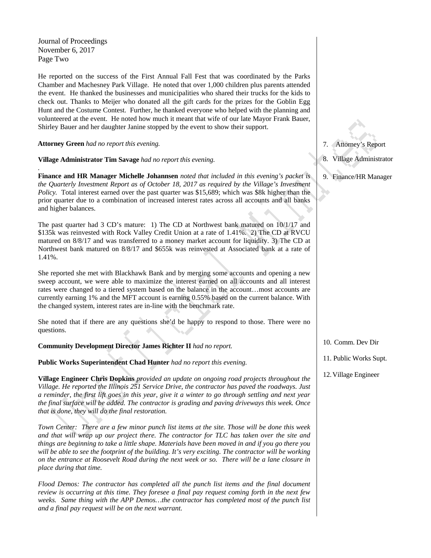Journal of Proceedings November 6, 2017 Page Two

*.*

He reported on the success of the First Annual Fall Fest that was coordinated by the Parks Chamber and Machesney Park Village. He noted that over 1,000 children plus parents attended the event. He thanked the businesses and municipalities who shared their trucks for the kids to check out. Thanks to Meijer who donated all the gift cards for the prizes for the Goblin Egg Hunt and the Costume Contest. Further, he thanked everyone who helped with the planning and volunteered at the event. He noted how much it meant that wife of our late Mayor Frank Bauer, Shirley Bauer and her daughter Janine stopped by the event to show their support.

**Attorney Green** *had no report this evening.*

**Village Administrator Tim Savage** *had no report this evening.*

**Finance and HR Manager Michelle Johannsen** *noted that included in this evening's packet is the Quarterly Investment Report as of October 18, 2017 as required by the Village's Investment Policy.* Total interest earned over the past quarter was \$15,689; which was \$8k higher than the prior quarter due to a combination of increased interest rates across all accounts and all banks and higher balances.

The past quarter had 3 CD's mature: 1) The CD at Northwest bank matured on 10/1/17 and \$135k was reinvested with Rock Valley Credit Union at a rate of 1.41%. 2) The CD at RVCU matured on 8/8/17 and was transferred to a money market account for liquidity. 3) The CD at Northwest bank matured on 8/8/17 and \$655k was reinvested at Associated bank at a rate of 1.41%.

She reported she met with Blackhawk Bank and by merging some accounts and opening a new sweep account, we were able to maximize the interest earned on all accounts and all interest rates were changed to a tiered system based on the balance in the account…most accounts are currently earning 1% and the MFT account is earning 0.55% based on the current balance. With the changed system, interest rates are in-line with the benchmark rate.

She noted that if there are any questions she'd be happy to respond to those. There were no questions.

**Community Development Director James Richter II** *had no report.*

**Public Works Superintendent Chad Hunter** *had no report this evening.*

**Village Engineer Chris Dopkins** *provided an update on ongoing road projects throughout the Village. He reported the Illinois 251 Service Drive, the contractor has paved the roadways. Just a reminder, the first lift goes in this year, give it a winter to go through settling and next year the final surface will be added. The contractor is grading and paving driveways this week. Once that is done, they will do the final restoration.* 

*Town Center: There are a few minor punch list items at the site. Those will be done this week and that will wrap up our project there. The contractor for TLC has taken over the site and things are beginning to take a little shape. Materials have been moved in and if you go there you will be able to see the footprint of the building. It's very exciting. The contractor will be working on the entrance at Roosevelt Road during the next week or so. There will be a lane closure in place during that time.* 

*Flood Demos: The contractor has completed all the punch list items and the final document review is occurring at this time. They foresee a final pay request coming forth in the next few weeks. Same thing with the APP Demos…the contractor has completed most of the punch list and a final pay request will be on the next warrant.*

7. Attorney's Report

- 8. Village Administrator
- 9. Finance/HR Manager

- 10. Comm. Dev Dir
- 11. Public Works Supt.
- 12.Village Engineer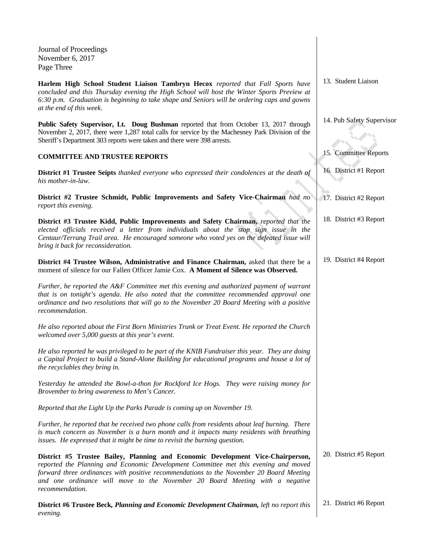Journal of Proceedings November 6, 2017 Page Three

**Harlem High School Student Liaison Tambryn Hecox** *reported that Fall Sports have concluded and this Thursday evening the High School will host the Winter Sports Preview at 6:30 p.m. Graduation is beginning to take shape and Seniors will be ordering caps and gowns at the end of this week.*

**Public Safety Supervisor, Lt. Doug Bushman** reported that from October 13, 2017 through November 2, 2017, there were 1,287 total calls for service by the Machesney Park Division of the Sheriff's Department 303 reports were taken and there were 398 arrests.

# **COMMITTEE AND TRUSTEE REPORTS**

**District #1 Trustee Seipts** *thanked everyone who expressed their condolences at the death of his mother-in-law.*

**District #2 Trustee Schmidt, Public Improvements and Safety Vice-Chairman** *had no report this evening.*

**District #3 Trustee Kidd, Public Improvements and Safety Chairman,** *reported that the elected officials received a letter from individuals about the stop sign issue in the Centaur/Terrang Trail area. He encouraged someone who voted yes on the defeated issue will bring it back for reconsideration.*

**District #4 Trustee Wilson, Administrative and Finance Chairman,** asked that there be a moment of silence for our Fallen Officer Jamie Cox. **A Moment of Silence was Observed.**

*Further, he reported the A&F Committee met this evening and authorized payment of warrant that is on tonight's agenda. He also noted that the committee recommended approval one ordinance and two resolutions that will go to the November 20 Board Meeting with a positive recommendation.*

*He also reported about the First Born Ministries Trunk or Treat Event. He reported the Church welcomed over 5,000 guests at this year's event.*

*He also reported he was privileged to be part of the KNIB Fundraiser this year. They are doing a Capital Project to build a Stand-Alone Building for educational programs and house a lot of the recyclables they bring in.*

*Yesterday he attended the Bowl-a-thon for Rockford Ice Hogs. They were raising money for Brovember to bring awareness to Men's Cancer.*

*Reported that the Light Up the Parks Parade is coming up on November 19.* 

*Further, he reported that he received two phone calls from residents about leaf burning. There is much concern as November is a burn month and it impacts many residents with breathing issues. He expressed that it might be time to revisit the burning question.*

**District #5 Trustee Bailey, Planning and Economic Development Vice-Chairperson,**  *reported the Planning and Economic Development Committee met this evening and moved forward three ordinances with positive recommendations to the November 20 Board Meeting and one ordinance will move to the November 20 Board Meeting with a negative recommendation.*

**District #6 Trustee Beck***, Planning and Economic Development Chairman, left no report this evening.* 21. District #6 Report

13. Student Liaison

|  |  |  |  | 14. Pub Safety Supervisor |
|--|--|--|--|---------------------------|
|--|--|--|--|---------------------------|

- 15. Committee Reports
- 16. District #1 Report
- 17. District #2 Report
- 18. District #3 Report
- 19. District #4 Report

20. District #5 Report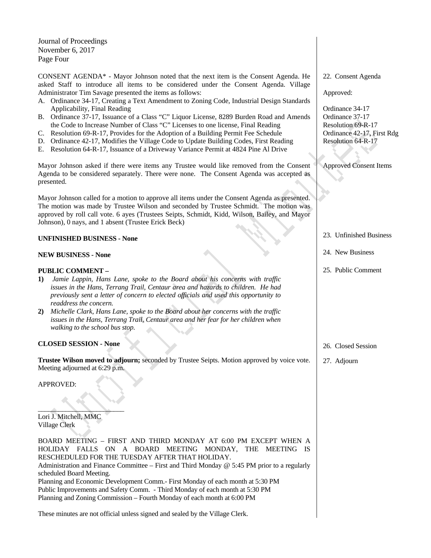Journal of Proceedings November 6, 2017 Page Four

CONSENT AGENDA\* - Mayor Johnson noted that the next item is the Consent Agenda. He asked Staff to introduce all items to be considered under the Consent Agenda. Village Administrator Tim Savage presented the items as follows:

- A. Ordinance 34-17, Creating a Text Amendment to Zoning Code, Industrial Design Standards Applicability, Final Reading
- B. Ordinance 37-17, Issuance of a Class "C" Liquor License, 8289 Burden Road and Amends the Code to Increase Number of Class "C" Licenses to one license, Final Reading
- C. Resolution 69-R-17, Provides for the Adoption of a Building Permit Fee Schedule
- D. Ordinance 42-17, Modifies the Village Code to Update Building Codes, First Reading
- E. Resolution 64-R-17, Issuance of a Driveway Variance Permit at 4824 Pine Al Drive

Mayor Johnson asked if there were items any Trustee would like removed from the Consent Agenda to be considered separately. There were none. The Consent Agenda was accepted as presented.

Mayor Johnson called for a motion to approve all items under the Consent Agenda as presented. The motion was made by Trustee Wilson and seconded by Trustee Schmidt. The motion was approved by roll call vote. 6 ayes (Trustees Seipts, Schmidt, Kidd, Wilson, Bailey, and Mayor Johnson), 0 nays, and 1 absent (Trustee Erick Beck)

# **UNFINISHED BUSINESS - None**

# **NEW BUSINESS - None**

### **PUBLIC COMMENT –**

- **1)** *Jamie Lappin, Hans Lane, spoke to the Board about his concerns with traffic issues in the Hans, Terrang Trail, Centaur area and hazards to children. He had previously sent a letter of concern to elected officials and used this opportunity to readdress the concern.*
- **2)** *Michelle Clark, Hans Lane, spoke to the Board about her concerns with the traffic issues in the Hans, Terrang Trail, Centaur area and her fear for her children when walking to the school bus stop.*

#### **CLOSED SESSION - None**

**Trustee Wilson moved to adjourn;** seconded by Trustee Seipts. Motion approved by voice vote. Meeting adjourned at 6:29 p.m.

APPROVED:

 $\overline{\phantom{a}}$ Lori J. Mitchell, MMC Village Clerk

BOARD MEETING – FIRST AND THIRD MONDAY AT 6:00 PM EXCEPT WHEN A HOLIDAY FALLS ON A BOARD MEETING MONDAY, THE MEETING IS RESCHEDULED FOR THE TUESDAY AFTER THAT HOLIDAY. Administration and Finance Committee – First and Third Monday @ 5:45 PM prior to a regularly scheduled Board Meeting. Planning and Economic Development Comm.- First Monday of each month at 5:30 PM Public Improvements and Safety Comm. - Third Monday of each month at 5:30 PM Planning and Zoning Commission – Fourth Monday of each month at 6:00 PM

These minutes are not official unless signed and sealed by the Village Clerk.

22. Consent Agenda

Approved:

Ordinance 34-17 Ordinance 37-17 Resolution 69-R-17 Ordinance 42-17, First Rdg Resolution 64-R-17

Approved Consent Items

- 23. Unfinished Business
- 24. New Business
- 25. Public Comment

- 26. Closed Session
- 27. Adjourn